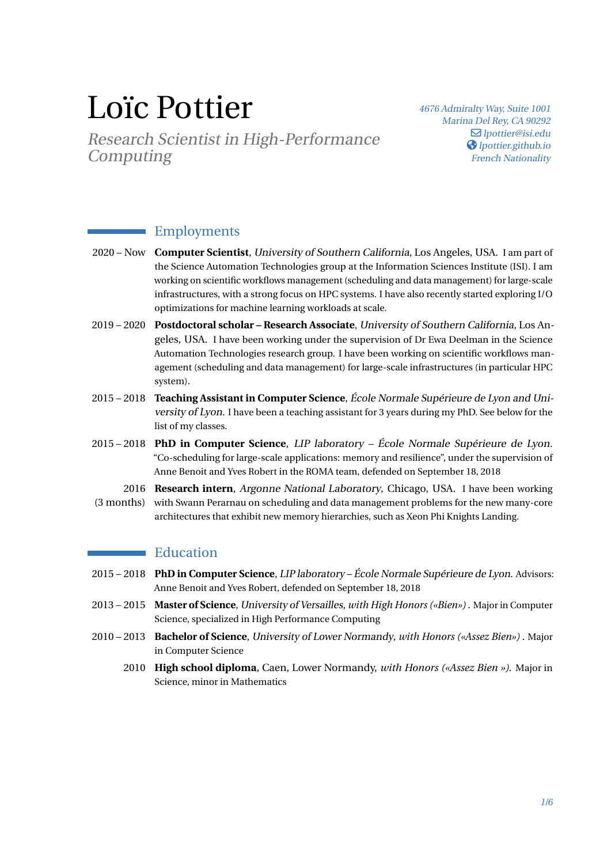# Loïc Pottier

Research Scientist in High-Performance Computing

<sup>4676</sup> Admiralty Way, Suite <sup>1001</sup> Marina Del Rey, CA <sup>90292</sup>  $\Box$  [lpottier@isi.edu](mailto:lpottier@isi.edu) **S** [lpottier.github.io](https://lpottier.github.io) French Nationality

#### Employments

- 2020 Now **Computer Scientist**, University of Southern California, Los Angeles, USA. I am part of the Science Automation Technologies group at the Information Sciences Institute (ISI). I am working on scientific workflows management (scheduling and data management) for large-scale infrastructures, with a strong focus on HPC systems. I have also recently started exploring I/O optimizations for machine learning workloads at scale.
- 2019 2020 **Postdoctoral scholar Research Associate**, University of Southern California, Los Angeles, USA. I have been working under the supervision of Dr Ewa Deelman in the Science Automation Technologies research group. I have been working on scientific workflows management (scheduling and data management) for large-scale infrastructures (in particular HPC system).
- 2015 2018 **Teaching Assistant in Computer Science**, École Normale Supérieure de Lyon and University of Lyon. I have been a teaching assistant for 3 years during my PhD. See below for the list of my classes.
- 2015 2018 **PhD in Computer Science**, LIP laboratory École Normale Supérieure de Lyon. "Co-scheduling for large-scale applications: memory and resilience", under the supervision of Anne Benoit and Yves Robert in the ROMA team, defended on September 18, 2018
- 2016 **Research intern**, Argonne National Laboratory, Chicago, USA. I have been working (3 months) with Swann Perarnau on scheduling and data management problems for the new many-core architectures that exhibit new memory hierarchies, such as Xeon Phi Knights Landing.

#### **Education**

- 2015 2018 **PhD in Computer Science**, LIP laboratory École Normale Supérieure de Lyon. Advisors: Anne Benoit and Yves Robert, defended on September 18, 2018
- 2013 2015 **Master of Science**, University of Versailles, *with High Honors («Bien»)* . Major in Computer Science, specialized in High Performance Computing
- 2010 2013 **Bachelor of Science**, University of Lower Normandy, *with Honors («Assez Bien»)* . Major in Computer Science
	- 2010 **High school diploma**, Caen, Lower Normandy, *with Honors («Assez Bien »)*. Major in Science, minor in Mathematics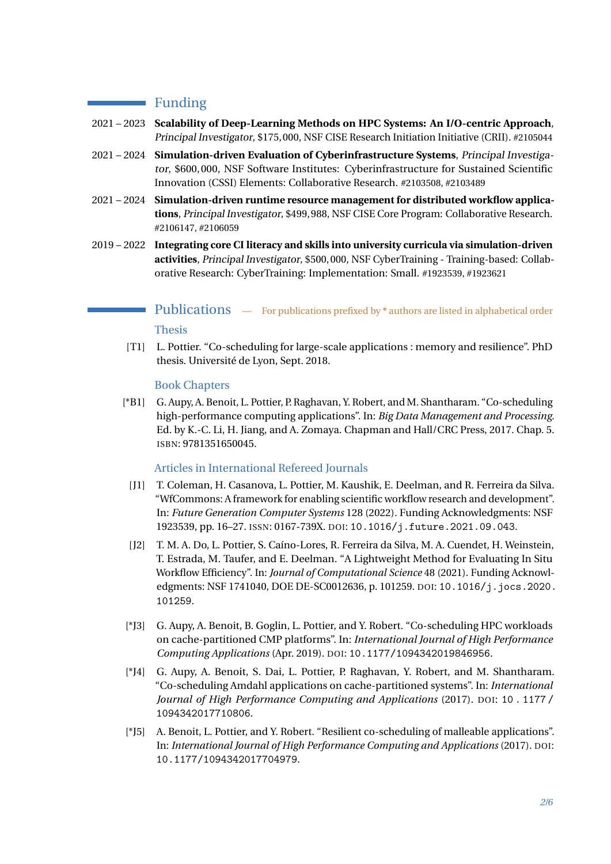#### **Funding**

- 2021 2023 **Scalability of Deep-Learning Methods on HPC Systems: An I/O-centric Approach**, Principal Investigator, \$175,000, NSF CISE Research Initiation Initiative (CRII). #2105044
- 2021 2024 **Simulation-driven Evaluation of Cyberinfrastructure Systems**, Principal Investigator, \$600,000, NSF Software Institutes: Cyberinfrastructure for Sustained Scientific Innovation (CSSI) Elements: Collaborative Research. #2103508, #2103489
- 2021 2024 **Simulation-driven runtime resource management for distributed workflow applications**, Principal Investigator, \$499,988, NSF CISE Core Program: Collaborative Research. #2106147, #2106059
- 2019 2022 **Integrating core CI literacy and skills into university curricula via simulation-driven activities**, Principal Investigator, \$500,000, NSF CyberTraining - Training-based: Collaborative Research: CyberTraining: Implementation: Small. #1923539, #1923621

### **Publications** — For publications prefixed by  $*$  authors are listed in alphabetical order Thesis

[T1] L. Pottier. "Co-scheduling for large-scale applications : memory and resilience". PhD thesis. Université de Lyon, Sept. 2018.

#### Book Chapters

[\*B1] G. Aupy, A. Benoit, L. Pottier, P. Raghavan, Y. Robert, and M. Shantharam. "Co-scheduling high-performance computing applications". In: *Big Data Management and Processing*. Ed. by K.-C. Li, H. Jiang, and A. Zomaya. Chapman and Hall/CRC Press, 2017. Chap. 5. ISBN: 9781351650045.

#### Articles in International Refereed Journals

- [J1] T. Coleman, H. Casanova, L. Pottier, M. Kaushik, E. Deelman, and R. Ferreira da Silva. "WfCommons: A framework for enabling scientific workflow research and development". In: *Future Generation Computer Systems* 128 (2022). Funding Acknowledgments: NSF 1923539, pp. 16–27. ISSN: 0167-739X. DOI: [10.1016/j.future.2021.09.043](https://doi.org/10.1016/j.future.2021.09.043).
- [J2] T. M. A. Do, L. Pottier, S. Caíno-Lores, R. Ferreira da Silva, M. A. Cuendet, H. Weinstein, T. Estrada, M. Taufer, and E. Deelman. "A Lightweight Method for Evaluating In Situ Workflow Efficiency". In: *Journal of Computational Science* 48 (2021). Funding Acknowledgments: NSF 1741040, DOE DE-SC0012636, p. 101259. DOI: [10.1016/j.jocs.2020.](https://doi.org/10.1016/j.jocs.2020.101259) [101259](https://doi.org/10.1016/j.jocs.2020.101259).
- [\*J3] G. Aupy, A. Benoit, B. Goglin, L. Pottier, and Y. Robert. "Co-scheduling HPC workloads on cache-partitioned CMP platforms". In: *International Journal of High Performance Computing Applications* (Apr. 2019). DOI: [10.1177/1094342019846956](https://doi.org/10.1177/1094342019846956).
- [\*J4] G. Aupy, A. Benoit, S. Dai, L. Pottier, P. Raghavan, Y. Robert, and M. Shantharam. "Co-scheduling Amdahl applications on cache-partitioned systems". In: *International Journal of High Performance Computing and Applications* (2017). DOI: [10 . 1177 /](https://doi.org/10.1177/1094342017710806) [1094342017710806](https://doi.org/10.1177/1094342017710806).
- [\*J5] A. Benoit, L. Pottier, and Y. Robert. "Resilient co-scheduling of malleable applications". In: *International Journal of High Performance Computing and Applications* (2017). DOI: [10.1177/1094342017704979](https://doi.org/10.1177/1094342017704979).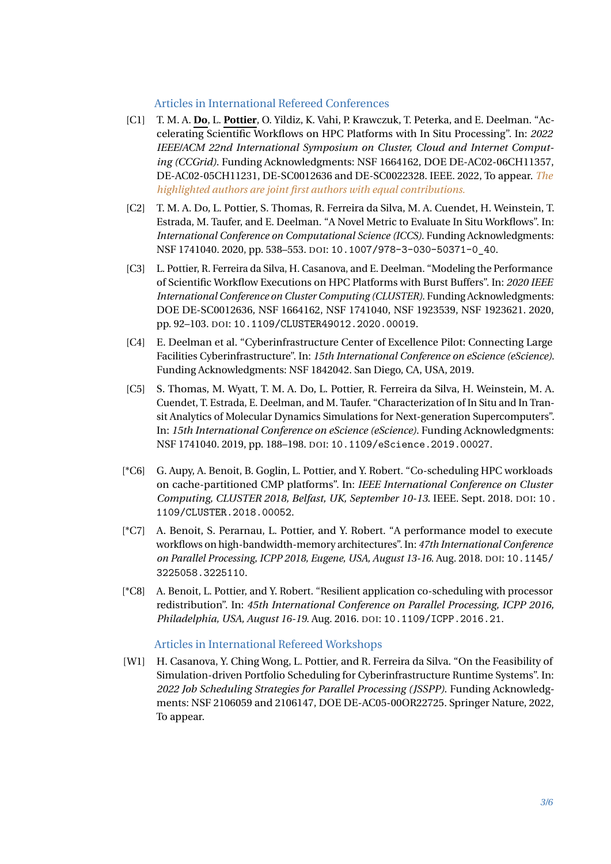#### Articles in International Refereed Conferences

- [C1] T. M. A. **Do**, L. **Pottier**, O. Yildiz, K. Vahi, P. Krawczuk, T. Peterka, and E. Deelman. "Accelerating Scientific Workflows on HPC Platforms with In Situ Processing". In: *2022 IEEE/ACM 22nd International Symposium on Cluster, Cloud and Internet Computing (CCGrid)*. Funding Acknowledgments: NSF 1664162, DOE DE-AC02-06CH11357, DE-AC02-05CH11231, DE-SC0012636 and DE-SC0022328. IEEE. 2022, To appear. *The highlighted authors are joint first authors with equal contributions.*
- [C2] T. M. A. Do, L. Pottier, S. Thomas, R. Ferreira da Silva, M. A. Cuendet, H. Weinstein, T. Estrada, M. Taufer, and E. Deelman. "A Novel Metric to Evaluate In Situ Workflows". In: *International Conference on Computational Science (ICCS)*. Funding Acknowledgments: NSF 1741040. 2020, pp. 538–553. DOI: [10.1007/978-3-030-50371-0\\_40](https://doi.org/10.1007/978-3-030-50371-0_40).
- [C3] L. Pottier, R. Ferreira da Silva, H. Casanova, and E. Deelman. "Modeling the Performance of Scientific Workflow Executions on HPC Platforms with Burst Buffers". In: *2020 IEEE International Conference on Cluster Computing (CLUSTER)*. Funding Acknowledgments: DOE DE-SC0012636, NSF 1664162, NSF 1741040, NSF 1923539, NSF 1923621. 2020, pp. 92–103. DOI: [10.1109/CLUSTER49012.2020.00019](https://doi.org/10.1109/CLUSTER49012.2020.00019).
- [C4] E. Deelman et al. "Cyberinfrastructure Center of Excellence Pilot: Connecting Large Facilities Cyberinfrastructure". In: *15th International Conference on eScience (eScience)*. Funding Acknowledgments: NSF 1842042. San Diego, CA, USA, 2019.
- [C5] S. Thomas, M. Wyatt, T. M. A. Do, L. Pottier, R. Ferreira da Silva, H. Weinstein, M. A. Cuendet, T. Estrada, E. Deelman, and M. Taufer. "Characterization of In Situ and In Transit Analytics of Molecular Dynamics Simulations for Next-generation Supercomputers". In: *15th International Conference on eScience (eScience)*. Funding Acknowledgments: NSF 1741040. 2019, pp. 188–198. DOI: [10.1109/eScience.2019.00027](https://doi.org/10.1109/eScience.2019.00027).
- [\*C6] G. Aupy, A. Benoit, B. Goglin, L. Pottier, and Y. Robert. "Co-scheduling HPC workloads on cache-partitioned CMP platforms". In: *IEEE International Conference on Cluster Computing, CLUSTER 2018, Belfast, UK, September 10-13*. IEEE. Sept. 2018. DOI: [10.](https://doi.org/10.1109/CLUSTER.2018.00052) [1109/CLUSTER.2018.00052](https://doi.org/10.1109/CLUSTER.2018.00052).
- [\*C7] A. Benoit, S. Perarnau, L. Pottier, and Y. Robert. "A performance model to execute workflows on high-bandwidth-memory architectures". In: *47th International Conference on Parallel Processing, ICPP 2018, Eugene, USA, August 13-16*. Aug. 2018. DOI: [10.1145/](https://doi.org/10.1145/3225058.3225110) [3225058.3225110](https://doi.org/10.1145/3225058.3225110).
- [\*C8] A. Benoit, L. Pottier, and Y. Robert. "Resilient application co-scheduling with processor redistribution". In: *45th International Conference on Parallel Processing, ICPP 2016, Philadelphia, USA, August 16-19*. Aug. 2016. DOI: [10.1109/ICPP.2016.21](https://doi.org/10.1109/ICPP.2016.21).

#### Articles in International Refereed Workshops

[W1] H. Casanova, Y. Ching Wong, L. Pottier, and R. Ferreira da Silva. "On the Feasibility of Simulation-driven Portfolio Scheduling for Cyberinfrastructure Runtime Systems". In: *2022 Job Scheduling Strategies for Parallel Processing (JSSPP)*. Funding Acknowledgments: NSF 2106059 and 2106147, DOE DE-AC05-00OR22725. Springer Nature, 2022, To appear.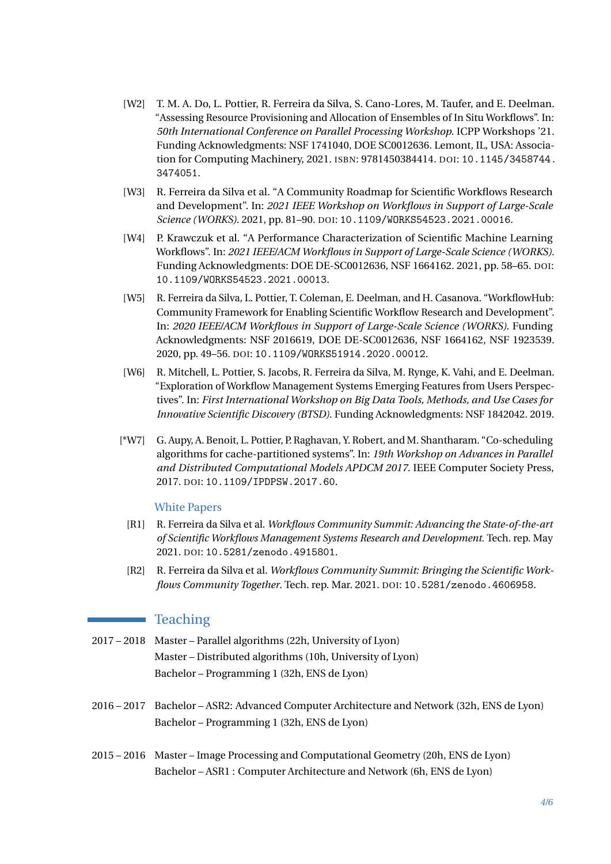- [W2] T. M. A. Do, L. Pottier, R. Ferreira da Silva, S. Cano-Lores, M. Taufer, and E. Deelman. "Assessing Resource Provisioning and Allocation of Ensembles of In Situ Workflows". In: *50th International Conference on Parallel Processing Workshop*. ICPP Workshops '21. Funding Acknowledgments: NSF 1741040, DOE SC0012636. Lemont, IL, USA: Association for Computing Machinery, 2021. ISBN: 9781450384414. DOI: [10.1145/3458744.](https://doi.org/10.1145/3458744.3474051) [3474051](https://doi.org/10.1145/3458744.3474051).
- [W3] R. Ferreira da Silva et al. "A Community Roadmap for Scientific Workflows Research and Development". In: *2021 IEEE Workshop on Workflows in Support of Large-Scale Science (WORKS)*. 2021, pp. 81–90. DOI: [10.1109/WORKS54523.2021.00016](https://doi.org/10.1109/WORKS54523.2021.00016).
- [W4] P. Krawczuk et al. "A Performance Characterization of Scientific Machine Learning Workflows". In: *2021 IEEE/ACM Workflows in Support of Large-Scale Science (WORKS)*. Funding Acknowledgments: DOE DE-SC0012636, NSF 1664162. 2021, pp. 58–65. DOI: [10.1109/WORKS54523.2021.00013](https://doi.org/10.1109/WORKS54523.2021.00013).
- [W5] R. Ferreira da Silva, L. Pottier, T. Coleman, E. Deelman, and H. Casanova. "WorkflowHub: Community Framework for Enabling Scientific Workflow Research and Development". In: *2020 IEEE/ACM Workflows in Support of Large-Scale Science (WORKS)*. Funding Acknowledgments: NSF 2016619, DOE DE-SC0012636, NSF 1664162, NSF 1923539. 2020, pp. 49–56. DOI: [10.1109/WORKS51914.2020.00012](https://doi.org/10.1109/WORKS51914.2020.00012).
- [W6] R. Mitchell, L. Pottier, S. Jacobs, R. Ferreira da Silva, M. Rynge, K. Vahi, and E. Deelman. "Exploration of Workflow Management Systems Emerging Features from Users Perspectives". In: *First International Workshop on Big Data Tools, Methods, and Use Cases for Innovative Scientific Discovery (BTSD)*. Funding Acknowledgments: NSF 1842042. 2019.
- [\*W7] G. Aupy, A. Benoit, L. Pottier, P. Raghavan, Y. Robert, and M. Shantharam. "Co-scheduling algorithms for cache-partitioned systems". In: *19th Workshop on Advances in Parallel and Distributed Computational Models APDCM 2017*. IEEE Computer Society Press, 2017. DOI: [10.1109/IPDPSW.2017.60](https://doi.org/10.1109/IPDPSW.2017.60).

#### White Papers

- [R1] R. Ferreira da Silva et al. *Workflows Community Summit: Advancing the State-of-the-art of Scientific Workflows Management Systems Research and Development*. Tech. rep. May 2021. DOI: [10.5281/zenodo.4915801](https://doi.org/10.5281/zenodo.4915801).
- [R2] R. Ferreira da Silva et al. *Workflows Community Summit: Bringing the Scientific Workflows Community Together*. Tech. rep. Mar. 2021. DOI: [10.5281/zenodo.4606958](https://doi.org/10.5281/zenodo.4606958).

#### Teaching

- 2017 2018 Master Parallel algorithms (22h, University of Lyon) Master – Distributed algorithms (10h, University of Lyon) Bachelor – Programming 1 (32h, ENS de Lyon)
- 2016 2017 Bachelor ASR2: Advanced Computer Architecture and Network (32h, ENS de Lyon) Bachelor – Programming 1 (32h, ENS de Lyon)
- 2015 2016 Master Image Processing and Computational Geometry (20h, ENS de Lyon) Bachelor – ASR1 : Computer Architecture and Network (6h, ENS de Lyon)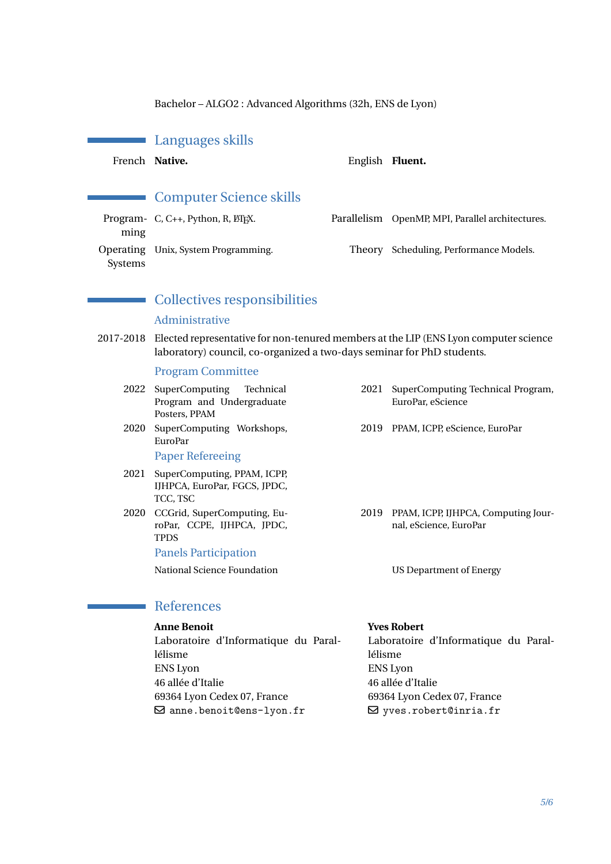Bachelor – ALGO2 : Advanced Algorithms (32h, ENS de Lyon)

#### Languages skills

 $\mathcal{L}_{\mathcal{A}}$ 

French Native. **English Fluent.** 

#### Computer Science skills

Program- C, C++, Python, R, LTFX. ming Operating Unix, System Programming. Systems

## Parallelism OpenMP, MPI, Parallel architectures. Theory Scheduling, Performance Models.

#### Collectives responsibilities

#### Administrative

2017-2018 Elected representative for non-tenured members at the LIP (ENS Lyon computer science laboratory) council, co-organized a two-days seminar for PhD students.

#### Program Committee

| 2022 | SuperComputing<br>Technical<br>Program and Undergraduate<br>Posters, PPAM | 2021 | SuperComputing Technical Program,<br>EuroPar, eScience        |
|------|---------------------------------------------------------------------------|------|---------------------------------------------------------------|
| 2020 | SuperComputing Workshops,<br>EuroPar<br><b>Paper Refereeing</b>           |      | 2019 PPAM, ICPP, eScience, EuroPar                            |
|      |                                                                           |      |                                                               |
| 2021 | SuperComputing, PPAM, ICPP,<br>IJHPCA, EuroPar, FGCS, JPDC,<br>TCC. TSC   |      |                                                               |
| 2020 | CCGrid, SuperComputing, Eu-<br>roPar, CCPE, IJHPCA, JPDC,<br>TPDS         | 2019 | PPAM, ICPP, IJHPCA, Computing Jour-<br>nal, eScience, EuroPar |
|      | <b>Panels Participation</b>                                               |      |                                                               |
|      | National Science Foundation                                               |      | US Department of Energy                                       |
|      |                                                                           |      |                                                               |

#### References

<span id="page-4-0"></span> $\sim$ 

#### **Anne Benoit** Laboratoire d'Informatique du Parallélisme ENS Lyon 46 allée d'Italie 69364 Lyon Cedex 07, France  $\boxdot$  <anne.benoit@ens-lyon.fr> **Yves Robert** Laboratoire d'Informatique du Parallélisme ENS Lyon 46 allée d'Italie 69364 Lyon Cedex 07, France  $\boxdot$  <yves.robert@inria.fr>